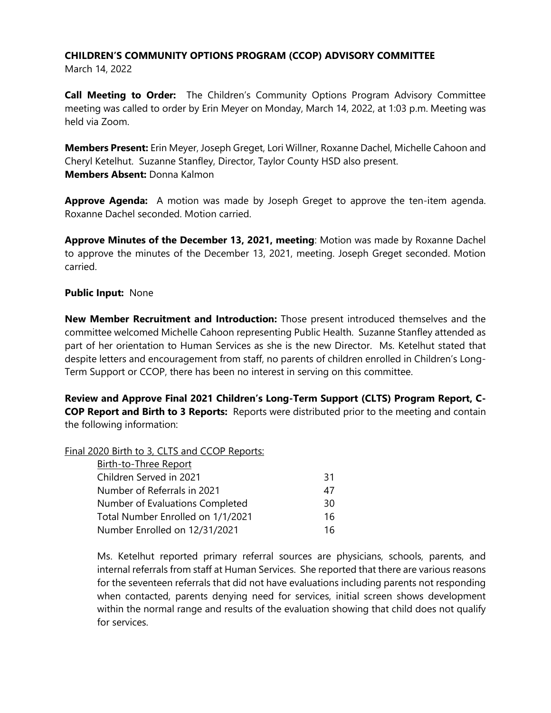## **CHILDREN'S COMMUNITY OPTIONS PROGRAM (CCOP) ADVISORY COMMITTEE**

March 14, 2022

**Call Meeting to Order:** The Children's Community Options Program Advisory Committee meeting was called to order by Erin Meyer on Monday, March 14, 2022, at 1:03 p.m. Meeting was held via Zoom.

**Members Present:** Erin Meyer, Joseph Greget, Lori Willner, Roxanne Dachel, Michelle Cahoon and Cheryl Ketelhut. Suzanne Stanfley, Director, Taylor County HSD also present. **Members Absent:** Donna Kalmon

**Approve Agenda:** A motion was made by Joseph Greget to approve the ten-item agenda. Roxanne Dachel seconded. Motion carried.

**Approve Minutes of the December 13, 2021, meeting**: Motion was made by Roxanne Dachel to approve the minutes of the December 13, 2021, meeting. Joseph Greget seconded. Motion carried.

## **Public Input:** None

**New Member Recruitment and Introduction:** Those present introduced themselves and the committee welcomed Michelle Cahoon representing Public Health. Suzanne Stanfley attended as part of her orientation to Human Services as she is the new Director. Ms. Ketelhut stated that despite letters and encouragement from staff, no parents of children enrolled in Children's Long-Term Support or CCOP, there has been no interest in serving on this committee.

**Review and Approve Final 2021 Children's Long-Term Support (CLTS) Program Report, C-COP Report and Birth to 3 Reports:** Reports were distributed prior to the meeting and contain the following information:

## Final 2020 Birth to 3, CLTS and CCOP Reports:

| Birth-to-Three Report             |     |
|-----------------------------------|-----|
| Children Served in 2021           | -31 |
| Number of Referrals in 2021       | 47  |
| Number of Evaluations Completed   | 30  |
| Total Number Enrolled on 1/1/2021 | 16  |
| Number Enrolled on 12/31/2021     | 16  |

Ms. Ketelhut reported primary referral sources are physicians, schools, parents, and internal referrals from staff at Human Services. She reported that there are various reasons for the seventeen referrals that did not have evaluations including parents not responding when contacted, parents denying need for services, initial screen shows development within the normal range and results of the evaluation showing that child does not qualify for services.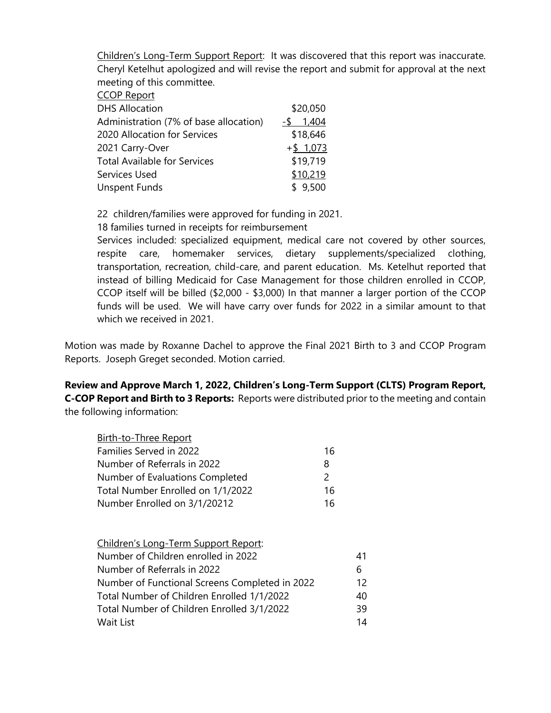Children's Long-Term Support Report: It was discovered that this report was inaccurate. Cheryl Ketelhut apologized and will revise the report and submit for approval at the next meeting of this committee.

| <b>CCOP Report</b> |
|--------------------|
|                    |

| <b>DHS Allocation</b>                  | \$20,050    |
|----------------------------------------|-------------|
| Administration (7% of base allocation) | 1,404<br>-S |
| 2020 Allocation for Services           | \$18,646    |
| 2021 Carry-Over                        | $+$ \$1,073 |
| <b>Total Available for Services</b>    | \$19,719    |
| Services Used                          | \$10,219    |
| <b>Unspent Funds</b>                   | \$9,500     |

22 children/families were approved for funding in 2021.

18 families turned in receipts for reimbursement

Services included: specialized equipment, medical care not covered by other sources, respite care, homemaker services, dietary supplements/specialized clothing, transportation, recreation, child-care, and parent education. Ms. Ketelhut reported that instead of billing Medicaid for Case Management for those children enrolled in CCOP, CCOP itself will be billed (\$2,000 - \$3,000) In that manner a larger portion of the CCOP funds will be used. We will have carry over funds for 2022 in a similar amount to that which we received in 2021.

Motion was made by Roxanne Dachel to approve the Final 2021 Birth to 3 and CCOP Program Reports. Joseph Greget seconded. Motion carried.

**Review and Approve March 1, 2022, Children's Long-Term Support (CLTS) Program Report, C-COP Report and Birth to 3 Reports:** Reports were distributed prior to the meeting and contain the following information:

| Birth-to-Three Report             |    |
|-----------------------------------|----|
| Families Served in 2022           | 16 |
| Number of Referrals in 2022       | 8  |
| Number of Evaluations Completed   | 2  |
| Total Number Enrolled on 1/1/2022 | 16 |
| Number Enrolled on 3/1/20212      | 16 |

| Children's Long-Term Support Report:           |    |
|------------------------------------------------|----|
| Number of Children enrolled in 2022            | 41 |
| Number of Referrals in 2022                    | 6  |
| Number of Functional Screens Completed in 2022 | 12 |
| Total Number of Children Enrolled 1/1/2022     | 40 |
| Total Number of Children Enrolled 3/1/2022     | 39 |
| Wait List                                      | 14 |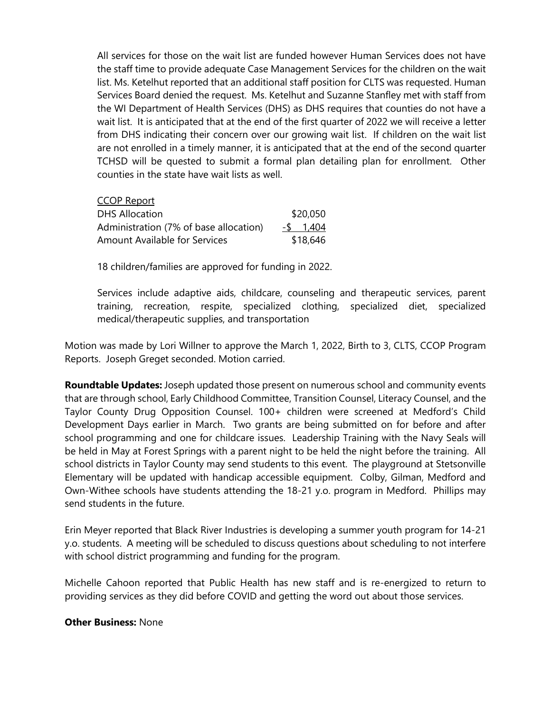All services for those on the wait list are funded however Human Services does not have the staff time to provide adequate Case Management Services for the children on the wait list. Ms. Ketelhut reported that an additional staff position for CLTS was requested. Human Services Board denied the request. Ms. Ketelhut and Suzanne Stanfley met with staff from the WI Department of Health Services (DHS) as DHS requires that counties do not have a wait list. It is anticipated that at the end of the first quarter of 2022 we will receive a letter from DHS indicating their concern over our growing wait list. If children on the wait list are not enrolled in a timely manner, it is anticipated that at the end of the second quarter TCHSD will be quested to submit a formal plan detailing plan for enrollment. Other counties in the state have wait lists as well.

| <b>CCOP Report</b>                     |           |
|----------------------------------------|-----------|
| <b>DHS Allocation</b>                  | \$20,050  |
| Administration (7% of base allocation) | -\$ 1.404 |
| Amount Available for Services          | \$18,646  |

18 children/families are approved for funding in 2022.

Services include adaptive aids, childcare, counseling and therapeutic services, parent training, recreation, respite, specialized clothing, specialized diet, specialized medical/therapeutic supplies, and transportation

Motion was made by Lori Willner to approve the March 1, 2022, Birth to 3, CLTS, CCOP Program Reports. Joseph Greget seconded. Motion carried.

**Roundtable Updates:** Joseph updated those present on numerous school and community events that are through school, Early Childhood Committee, Transition Counsel, Literacy Counsel, and the Taylor County Drug Opposition Counsel. 100+ children were screened at Medford's Child Development Days earlier in March. Two grants are being submitted on for before and after school programming and one for childcare issues. Leadership Training with the Navy Seals will be held in May at Forest Springs with a parent night to be held the night before the training. All school districts in Taylor County may send students to this event. The playground at Stetsonville Elementary will be updated with handicap accessible equipment. Colby, Gilman, Medford and Own-Withee schools have students attending the 18-21 y.o. program in Medford. Phillips may send students in the future.

Erin Meyer reported that Black River Industries is developing a summer youth program for 14-21 y.o. students. A meeting will be scheduled to discuss questions about scheduling to not interfere with school district programming and funding for the program.

Michelle Cahoon reported that Public Health has new staff and is re-energized to return to providing services as they did before COVID and getting the word out about those services.

## **Other Business:** None